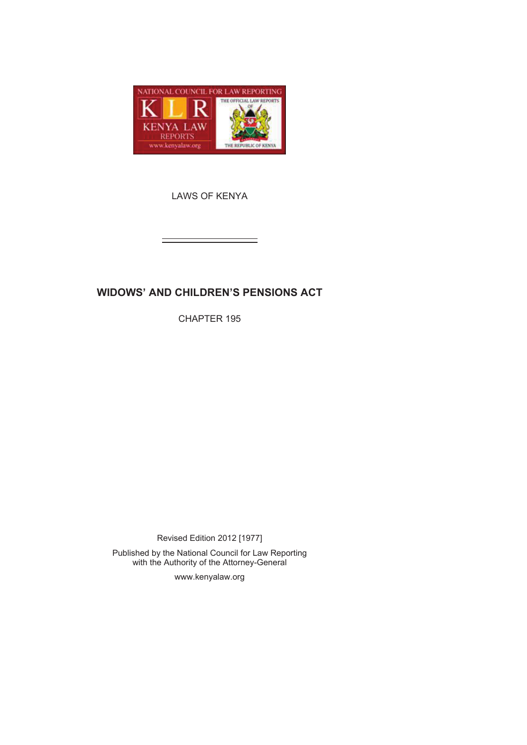

LAWS OF KENYA

# **WIDOWS' AND CHILDREN'S PENSIONS ACT**

CHAPTER 195

Revised Edition 2012 [1977] Published by the National Council for Law Reporting with the Authority of the Attorney-General

www.kenyalaw.org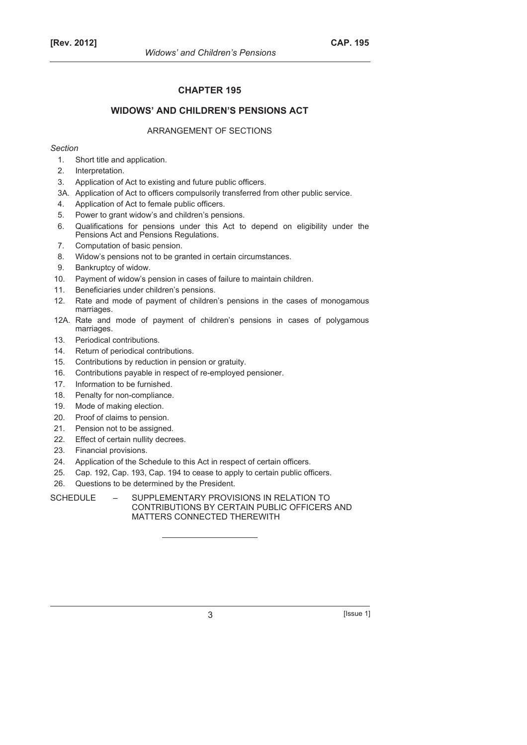### **CHAPTER 195**

### **WIDOWS' AND CHILDREN'S PENSIONS ACT**

### ARRANGEMENT OF SECTIONS

#### *Section*

- 1. Short title and application.
- 2. Interpretation.
- 3. Application of Act to existing and future public officers.
- 3A. Application of Act to officers compulsorily transferred from other public service.
- 4. Application of Act to female public officers.
- 5. Power to grant widow's and children's pensions.
- 6. Qualifications for pensions under this Act to depend on eligibility under the Pensions Act and Pensions Regulations.
- 7. Computation of basic pension.
- 8. Widow's pensions not to be granted in certain circumstances.
- 9. Bankruptcy of widow.
- 10. Payment of widow's pension in cases of failure to maintain children.
- 11. Beneficiaries under children's pensions.
- 12. Rate and mode of payment of children's pensions in the cases of monogamous marriages.
- 12A. Rate and mode of payment of children's pensions in cases of polygamous marriages.
- 13. Periodical contributions.
- 14. Return of periodical contributions.
- 15. Contributions by reduction in pension or gratuity.
- 16. Contributions payable in respect of re-employed pensioner.
- 17. Information to be furnished.
- 18. Penalty for non-compliance.
- 19. Mode of making election.
- 20. Proof of claims to pension.
- 21. Pension not to be assigned.
- 22. Effect of certain nullity decrees.
- 23. Financial provisions.
- 24. Application of the Schedule to this Act in respect of certain officers.
- 25. Cap. 192, Cap. 193, Cap. 194 to cease to apply to certain public officers.
- 26. Questions to be determined by the President.

SCHEDULE - SUPPLEMENTARY PROVISIONS IN RELATION TO CONTRIBUTIONS BY CERTAIN PUBLIC OFFICERS AND MATTERS CONNECTED THEREWITH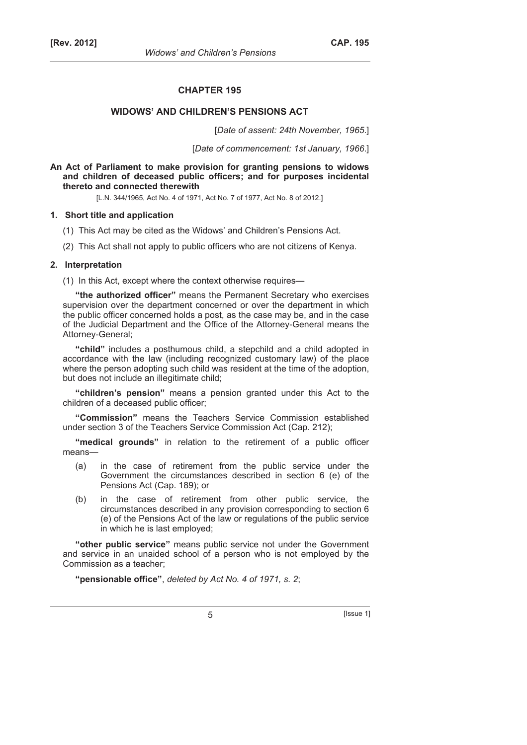#### **CHAPTER 195**

#### **WIDOWS' AND CHILDREN'S PENSIONS ACT**

[*Date of assent: 24th November, 1965*.]

[*Date of commencement: 1st January, 1966*.]

**An Act of Parliament to make provision for granting pensions to widows and children of deceased public officers; and for purposes incidental thereto and connected therewith** 

[L.N. 344/1965, Act No. 4 of 1971, Act No. 7 of 1977, Act No. 8 of 2012.]

#### **1. Short title and application**

- (1) This Act may be cited as the Widows' and Children's Pensions Act.
- (2) This Act shall not apply to public officers who are not citizens of Kenya.

#### **2. Interpretation**

(1) In this Act, except where the context otherwise requires—

**"the authorized officer"** means the Permanent Secretary who exercises supervision over the department concerned or over the department in which the public officer concerned holds a post, as the case may be, and in the case of the Judicial Department and the Office of the Attorney-General means the Attorney-General;

**"child"** includes a posthumous child, a stepchild and a child adopted in accordance with the law (including recognized customary law) of the place where the person adopting such child was resident at the time of the adoption, but does not include an illegitimate child;

**"children's pension"** means a pension granted under this Act to the children of a deceased public officer;

**"Commission"** means the Teachers Service Commission established under section 3 of the Teachers Service Commission Act (Cap. 212);

**"medical grounds"** in relation to the retirement of a public officer means—

- (a) in the case of retirement from the public service under the Government the circumstances described in section 6 (e) of the Pensions Act (Cap. 189); or
- (b) in the case of retirement from other public service, the circumstances described in any provision corresponding to section 6 (e) of the Pensions Act of the law or regulations of the public service in which he is last employed;

**"other public service"** means public service not under the Government and service in an unaided school of a person who is not employed by the Commission as a teacher;

**"pensionable office"**, *deleted by Act No. 4 of 1971, s. 2*;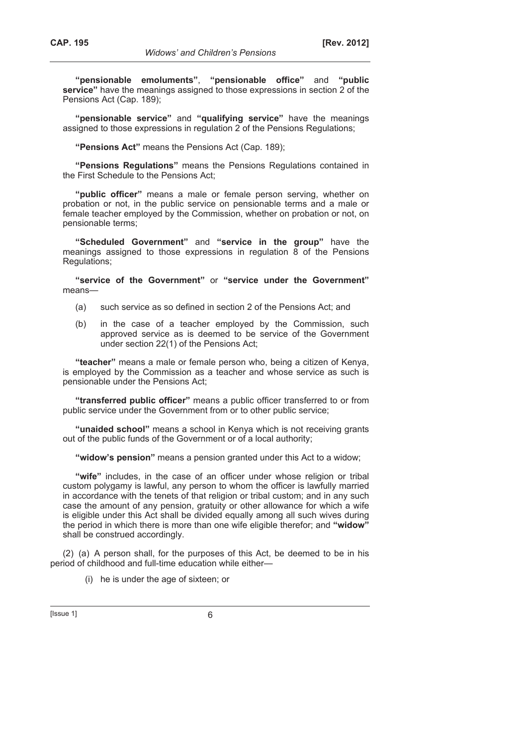**"pensionable emoluments"**, **"pensionable office"** and **"public service"** have the meanings assigned to those expressions in section 2 of the Pensions Act (Cap. 189);

**"pensionable service"** and **"qualifying service"** have the meanings assigned to those expressions in regulation 2 of the Pensions Regulations;

**"Pensions Act"** means the Pensions Act (Cap. 189);

**"Pensions Regulations"** means the Pensions Regulations contained in the First Schedule to the Pensions Act;

**"public officer"** means a male or female person serving, whether on probation or not, in the public service on pensionable terms and a male or female teacher employed by the Commission, whether on probation or not, on pensionable terms;

**"Scheduled Government"** and **"service in the group"** have the meanings assigned to those expressions in regulation 8 of the Pensions Regulations;

**"service of the Government"** or **"service under the Government"** means—

- (a) such service as so defined in section 2 of the Pensions Act; and
- (b) in the case of a teacher employed by the Commission, such approved service as is deemed to be service of the Government under section 22(1) of the Pensions Act;

**"teacher"** means a male or female person who, being a citizen of Kenya, is employed by the Commission as a teacher and whose service as such is pensionable under the Pensions Act;

**"transferred public officer"** means a public officer transferred to or from public service under the Government from or to other public service;

**"unaided school"** means a school in Kenya which is not receiving grants out of the public funds of the Government or of a local authority;

**"widow's pension"** means a pension granted under this Act to a widow;

**"wife"** includes, in the case of an officer under whose religion or tribal custom polygamy is lawful, any person to whom the officer is lawfully married in accordance with the tenets of that religion or tribal custom; and in any such case the amount of any pension, gratuity or other allowance for which a wife is eligible under this Act shall be divided equally among all such wives during the period in which there is more than one wife eligible therefor; and **"widow"** shall be construed accordingly.

(2) (a) A person shall, for the purposes of this Act, be deemed to be in his period of childhood and full-time education while either—

(i) he is under the age of sixteen; or

 $[|$ Ssue 1 $|$  6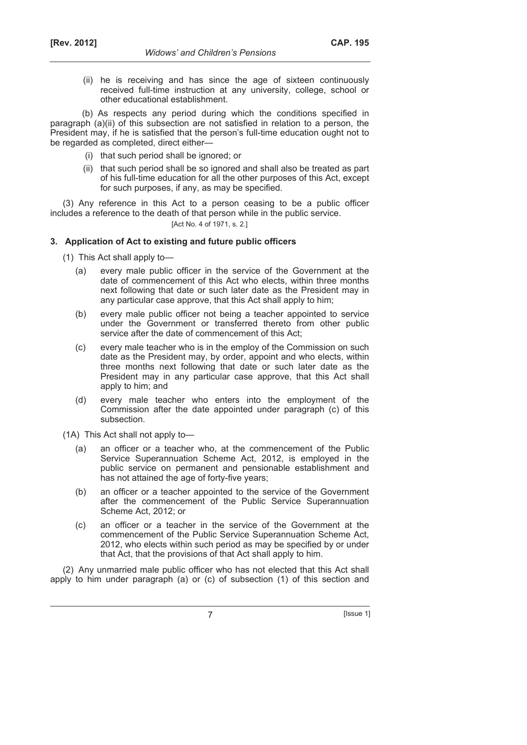(ii) he is receiving and has since the age of sixteen continuously received full-time instruction at any university, college, school or other educational establishment.

(b) As respects any period during which the conditions specified in paragraph (a)(ii) of this subsection are not satisfied in relation to a person, the President may, if he is satisfied that the person's full-time education ought not to be regarded as completed, direct either—

- (i) that such period shall be ignored; or
- (ii) that such period shall be so ignored and shall also be treated as part of his full-time education for all the other purposes of this Act, except for such purposes, if any, as may be specified.

(3) Any reference in this Act to a person ceasing to be a public officer includes a reference to the death of that person while in the public service.

### [Act No. 4 of 1971, s. 2.]

### **3. Application of Act to existing and future public officers**

- (1) This Act shall apply to—
	- (a) every male public officer in the service of the Government at the date of commencement of this Act who elects, within three months next following that date or such later date as the President may in any particular case approve, that this Act shall apply to him;
	- (b) every male public officer not being a teacher appointed to service under the Government or transferred thereto from other public service after the date of commencement of this Act;
	- (c) every male teacher who is in the employ of the Commission on such date as the President may, by order, appoint and who elects, within three months next following that date or such later date as the President may in any particular case approve, that this Act shall apply to him; and
	- (d) every male teacher who enters into the employment of the Commission after the date appointed under paragraph (c) of this subsection.

(1A) This Act shall not apply to—

- (a) an officer or a teacher who, at the commencement of the Public Service Superannuation Scheme Act, 2012, is employed in the public service on permanent and pensionable establishment and has not attained the age of forty-five years;
- (b) an officer or a teacher appointed to the service of the Government after the commencement of the Public Service Superannuation Scheme Act, 2012; or
- (c) an officer or a teacher in the service of the Government at the commencement of the Public Service Superannuation Scheme Act, 2012, who elects within such period as may be specified by or under that Act, that the provisions of that Act shall apply to him.

(2) Any unmarried male public officer who has not elected that this Act shall apply to him under paragraph (a) or (c) of subsection (1) of this section and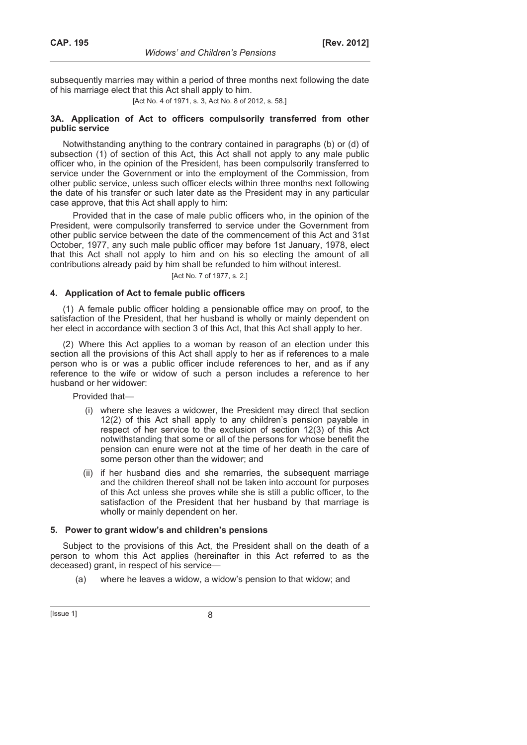subsequently marries may within a period of three months next following the date of his marriage elect that this Act shall apply to him.

[Act No. 4 of 1971, s. 3, Act No. 8 of 2012, s. 58.]

#### **3A. Application of Act to officers compulsorily transferred from other public service**

Notwithstanding anything to the contrary contained in paragraphs (b) or (d) of subsection (1) of section of this Act, this Act shall not apply to any male public officer who, in the opinion of the President, has been compulsorily transferred to service under the Government or into the employment of the Commission, from other public service, unless such officer elects within three months next following the date of his transfer or such later date as the President may in any particular case approve, that this Act shall apply to him:

Provided that in the case of male public officers who, in the opinion of the President, were compulsorily transferred to service under the Government from other public service between the date of the commencement of this Act and 31st October, 1977, any such male public officer may before 1st January, 1978, elect that this Act shall not apply to him and on his so electing the amount of all contributions already paid by him shall be refunded to him without interest.

[Act No. 7 of 1977, s. 2.]

# **4. Application of Act to female public officers**

(1) A female public officer holding a pensionable office may on proof, to the satisfaction of the President, that her husband is wholly or mainly dependent on her elect in accordance with section 3 of this Act, that this Act shall apply to her.

(2) Where this Act applies to a woman by reason of an election under this section all the provisions of this Act shall apply to her as if references to a male person who is or was a public officer include references to her, and as if any reference to the wife or widow of such a person includes a reference to her husband or her widower:

Provided that—

- (i) where she leaves a widower, the President may direct that section 12(2) of this Act shall apply to any children's pension payable in respect of her service to the exclusion of section 12(3) of this Act notwithstanding that some or all of the persons for whose benefit the pension can enure were not at the time of her death in the care of some person other than the widower; and
- (ii) if her husband dies and she remarries, the subsequent marriage and the children thereof shall not be taken into account for purposes of this Act unless she proves while she is still a public officer, to the satisfaction of the President that her husband by that marriage is wholly or mainly dependent on her.

# **5. Power to grant widow's and children's pensions**

Subject to the provisions of this Act, the President shall on the death of a person to whom this Act applies (hereinafter in this Act referred to as the deceased) grant, in respect of his service—

(a) where he leaves a widow, a widow's pension to that widow; and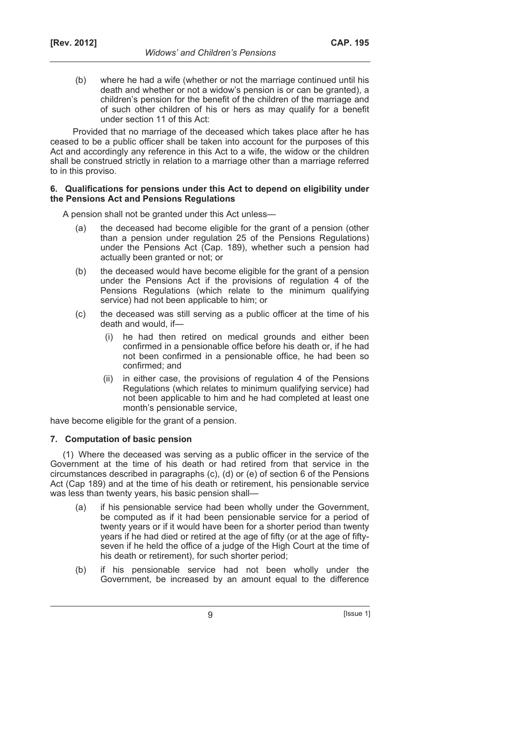(b) where he had a wife (whether or not the marriage continued until his death and whether or not a widow's pension is or can be granted), a children's pension for the benefit of the children of the marriage and of such other children of his or hers as may qualify for a benefit under section 11 of this Act:

Provided that no marriage of the deceased which takes place after he has ceased to be a public officer shall be taken into account for the purposes of this Act and accordingly any reference in this Act to a wife, the widow or the children shall be construed strictly in relation to a marriage other than a marriage referred to in this proviso.

#### **6. Qualifications for pensions under this Act to depend on eligibility under the Pensions Act and Pensions Regulations**

A pension shall not be granted under this Act unless—

- (a) the deceased had become eligible for the grant of a pension (other than a pension under regulation 25 of the Pensions Regulations) under the Pensions Act (Cap. 189), whether such a pension had actually been granted or not; or
- (b) the deceased would have become eligible for the grant of a pension under the Pensions Act if the provisions of regulation  $4$  of the Pensions Regulations (which relate to the minimum qualifying service) had not been applicable to him; or
- (c) the deceased was still serving as a public officer at the time of his death and would, if
	- he had then retired on medical grounds and either been confirmed in a pensionable office before his death or, if he had not been confirmed in a pensionable office, he had been so confirmed; and
	- (ii) in either case, the provisions of regulation 4 of the Pensions Regulations (which relates to minimum qualifying service) had not been applicable to him and he had completed at least one month's pensionable service,

have become eligible for the grant of a pension.

# **7. Computation of basic pension**

(1) Where the deceased was serving as a public officer in the service of the Government at the time of his death or had retired from that service in the circumstances described in paragraphs (c), (d) or (e) of section 6 of the Pensions Act (Cap 189) and at the time of his death or retirement, his pensionable service was less than twenty years, his basic pension shall—

- (a) if his pensionable service had been wholly under the Government, be computed as if it had been pensionable service for a period of twenty years or if it would have been for a shorter period than twenty years if he had died or retired at the age of fifty (or at the age of fiftyseven if he held the office of a judge of the High Court at the time of his death or retirement), for such shorter period;
- (b) if his pensionable service had not been wholly under the Government, be increased by an amount equal to the difference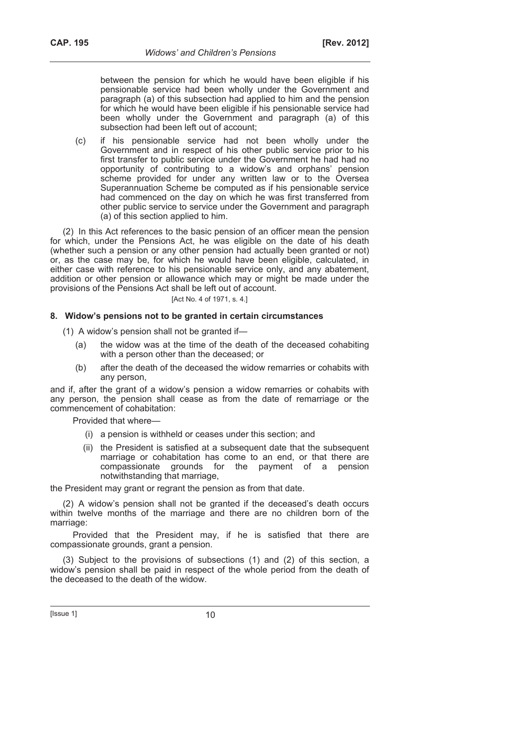between the pension for which he would have been eligible if his pensionable service had been wholly under the Government and paragraph (a) of this subsection had applied to him and the pension for which he would have been eligible if his pensionable service had been wholly under the Government and paragraph (a) of this subsection had been left out of account;

 (c) if his pensionable service had not been wholly under the Government and in respect of his other public service prior to his first transfer to public service under the Government he had had no opportunity of contributing to a widow's and orphans' pension scheme provided for under any written law or to the Oversea Superannuation Scheme be computed as if his pensionable service had commenced on the day on which he was first transferred from other public service to service under the Government and paragraph (a) of this section applied to him.

(2) In this Act references to the basic pension of an officer mean the pension for which, under the Pensions Act, he was eligible on the date of his death (whether such a pension or any other pension had actually been granted or not) or, as the case may be, for which he would have been eligible, calculated, in either case with reference to his pensionable service only, and any abatement, addition or other pension or allowance which may or might be made under the provisions of the Pensions Act shall be left out of account.

#### [Act No. 4 of 1971, s. 4.]

#### **8. Widow's pensions not to be granted in certain circumstances**

- (1) A widow's pension shall not be granted if—
	- (a) the widow was at the time of the death of the deceased cohabiting with a person other than the deceased; or
	- (b) after the death of the deceased the widow remarries or cohabits with any person,

and if, after the grant of a widow's pension a widow remarries or cohabits with any person, the pension shall cease as from the date of remarriage or the commencement of cohabitation:

Provided that where—

- (i) a pension is withheld or ceases under this section; and
- (ii) the President is satisfied at a subsequent date that the subsequent marriage or cohabitation has come to an end, or that there are compassionate grounds for the payment of a pension notwithstanding that marriage,

the President may grant or regrant the pension as from that date.

(2) A widow's pension shall not be granted if the deceased's death occurs within twelve months of the marriage and there are no children born of the marriage:

Provided that the President may, if he is satisfied that there are compassionate grounds, grant a pension.

(3) Subject to the provisions of subsections (1) and (2) of this section, a widow's pension shall be paid in respect of the whole period from the death of the deceased to the death of the widow.

 $[|$  Issue 1 $]$  10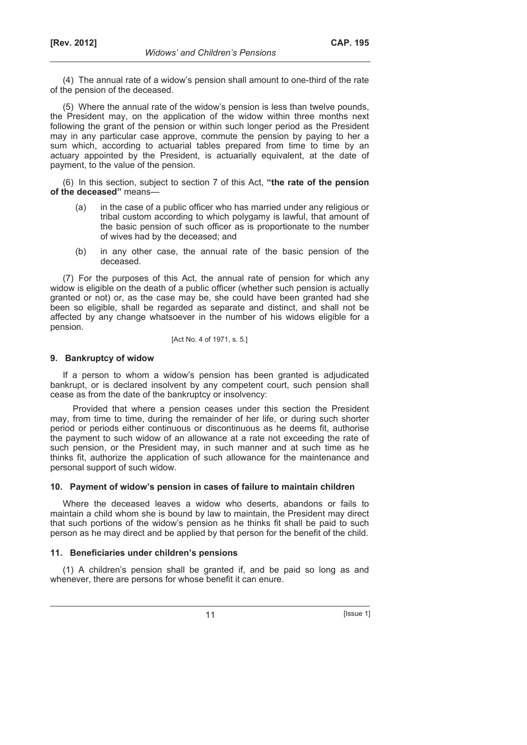(4) The annual rate of a widow's pension shall amount to one-third of the rate of the pension of the deceased.

(5) Where the annual rate of the widow's pension is less than twelve pounds, the President may, on the application of the widow within three months next following the grant of the pension or within such longer period as the President may in any particular case approve, commute the pension by paying to her a sum which, according to actuarial tables prepared from time to time by an actuary appointed by the President, is actuarially equivalent, at the date of payment, to the value of the pension.

(6) In this section, subject to section 7 of this Act, **"the rate of the pension of the deceased"** means—

- (a) in the case of a public officer who has married under any religious or tribal custom according to which polygamy is lawful, that amount of the basic pension of such officer as is proportionate to the number of wives had by the deceased; and
- (b) in any other case, the annual rate of the basic pension of the deceased.

(7) For the purposes of this Act, the annual rate of pension for which any widow is eligible on the death of a public officer (whether such pension is actually granted or not) or, as the case may be, she could have been granted had she been so eligible, shall be regarded as separate and distinct, and shall not be affected by any change whatsoever in the number of his widows eligible for a pension.

[Act No. 4 of 1971, s. 5.]

#### **9. Bankruptcy of widow**

If a person to whom a widow's pension has been granted is adjudicated bankrupt, or is declared insolvent by any competent court, such pension shall cease as from the date of the bankruptcy or insolvency:

Provided that where a pension ceases under this section the President may, from time to time, during the remainder of her life, or during such shorter period or periods either continuous or discontinuous as he deems fit, authorise the payment to such widow of an allowance at a rate not exceeding the rate of such pension, or the President may, in such manner and at such time as he thinks fit, authorize the application of such allowance for the maintenance and personal support of such widow.

#### **10. Payment of widow's pension in cases of failure to maintain children**

Where the deceased leaves a widow who deserts, abandons or fails to maintain a child whom she is bound by law to maintain, the President may direct that such portions of the widow's pension as he thinks fit shall be paid to such person as he may direct and be applied by that person for the benefit of the child.

#### **11. Beneficiaries under children's pensions**

(1) A children's pension shall be granted if, and be paid so long as and whenever, there are persons for whose benefit it can enure.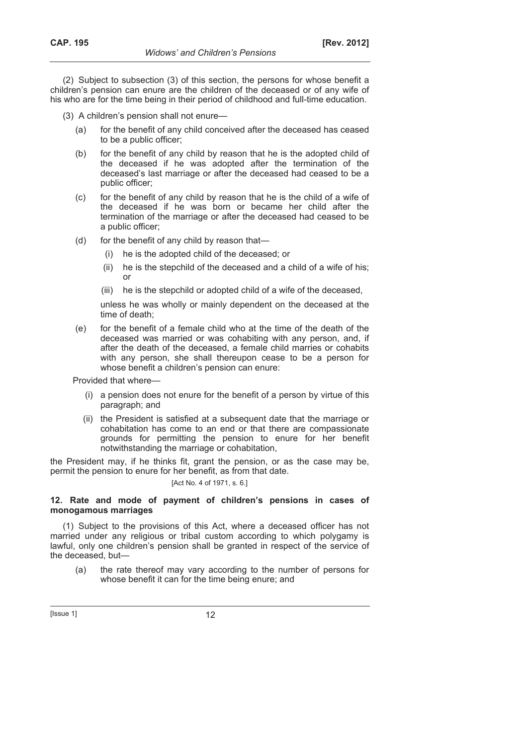(2) Subject to subsection (3) of this section, the persons for whose benefit a children's pension can enure are the children of the deceased or of any wife of his who are for the time being in their period of childhood and full-time education.

- (3) A children's pension shall not enure—
	- (a) for the benefit of any child conceived after the deceased has ceased to be a public officer;
	- (b) for the benefit of any child by reason that he is the adopted child of the deceased if he was adopted after the termination of the deceased's last marriage or after the deceased had ceased to be a public officer;
	- (c) for the benefit of any child by reason that he is the child of a wife of the deceased if he was born or became her child after the termination of the marriage or after the deceased had ceased to be a public officer;
	- (d) for the benefit of any child by reason that—
		- (i) he is the adopted child of the deceased; or
		- (ii) he is the stepchild of the deceased and a child of a wife of his; or
		- (iii) he is the stepchild or adopted child of a wife of the deceased,

 unless he was wholly or mainly dependent on the deceased at the time of death;

 (e) for the benefit of a female child who at the time of the death of the deceased was married or was cohabiting with any person, and, if after the death of the deceased, a female child marries or cohabits with any person, she shall thereupon cease to be a person for whose benefit a children's pension can enure:

Provided that where—

- (i) a pension does not enure for the benefit of a person by virtue of this paragraph; and
- (ii) the President is satisfied at a subsequent date that the marriage or cohabitation has come to an end or that there are compassionate grounds for permitting the pension to enure for her benefit notwithstanding the marriage or cohabitation,

the President may, if he thinks fit, grant the pension, or as the case may be, permit the pension to enure for her benefit, as from that date.

# [Act No. 4 of 1971, s. 6.]

#### **12. Rate and mode of payment of children's pensions in cases of monogamous marriages**

(1) Subject to the provisions of this Act, where a deceased officer has not married under any religious or tribal custom according to which polygamy is lawful, only one children's pension shall be granted in respect of the service of the deceased, but—

 (a) the rate thereof may vary according to the number of persons for whose benefit it can for the time being enure; and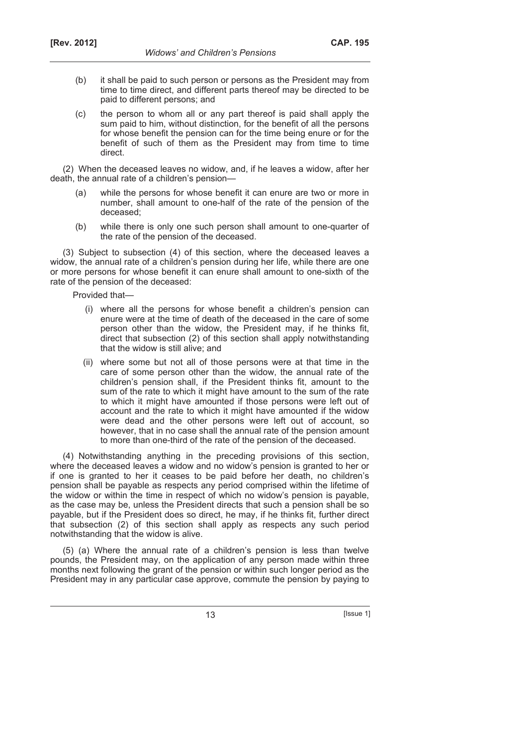- (b) it shall be paid to such person or persons as the President may from time to time direct, and different parts thereof may be directed to be paid to different persons; and
- (c) the person to whom all or any part thereof is paid shall apply the sum paid to him, without distinction, for the benefit of all the persons for whose benefit the pension can for the time being enure or for the benefit of such of them as the President may from time to time direct.

(2) When the deceased leaves no widow, and, if he leaves a widow, after her death, the annual rate of a children's pension—

- (a) while the persons for whose benefit it can enure are two or more in number, shall amount to one-half of the rate of the pension of the deceased;
- (b) while there is only one such person shall amount to one-quarter of the rate of the pension of the deceased.

(3) Subject to subsection (4) of this section, where the deceased leaves a widow, the annual rate of a children's pension during her life, while there are one or more persons for whose benefit it can enure shall amount to one-sixth of the rate of the pension of the deceased:

Provided that—

- (i) where all the persons for whose benefit a children's pension can enure were at the time of death of the deceased in the care of some person other than the widow, the President may, if he thinks fit, direct that subsection (2) of this section shall apply notwithstanding that the widow is still alive; and
- (ii) where some but not all of those persons were at that time in the care of some person other than the widow, the annual rate of the children's pension shall, if the President thinks fit, amount to the sum of the rate to which it might have amount to the sum of the rate to which it might have amounted if those persons were left out of account and the rate to which it might have amounted if the widow were dead and the other persons were left out of account, so however, that in no case shall the annual rate of the pension amount to more than one-third of the rate of the pension of the deceased.

(4) Notwithstanding anything in the preceding provisions of this section, where the deceased leaves a widow and no widow's pension is granted to her or if one is granted to her it ceases to be paid before her death, no children's pension shall be payable as respects any period comprised within the lifetime of the widow or within the time in respect of which no widow's pension is payable, as the case may be, unless the President directs that such a pension shall be so payable, but if the President does so direct, he may, if he thinks fit, further direct that subsection (2) of this section shall apply as respects any such period notwithstanding that the widow is alive.

(5) (a) Where the annual rate of a children's pension is less than twelve pounds, the President may, on the application of any person made within three months next following the grant of the pension or within such longer period as the President may in any particular case approve, commute the pension by paying to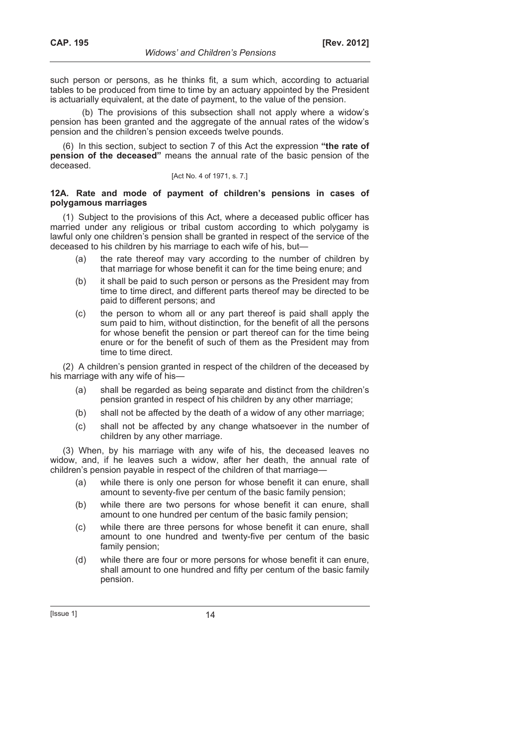such person or persons, as he thinks fit, a sum which, according to actuarial tables to be produced from time to time by an actuary appointed by the President is actuarially equivalent, at the date of payment, to the value of the pension.

(b) The provisions of this subsection shall not apply where a widow's pension has been granted and the aggregate of the annual rates of the widow's pension and the children's pension exceeds twelve pounds.

(6) In this section, subject to section 7 of this Act the expression **"the rate of pension of the deceased"** means the annual rate of the basic pension of the deceased.

#### [Act No. 4 of 1971, s. 7.]

### **12A. Rate and mode of payment of children's pensions in cases of polygamous marriages**

(1) Subject to the provisions of this Act, where a deceased public officer has married under any religious or tribal custom according to which polygamy is lawful only one children's pension shall be granted in respect of the service of the deceased to his children by his marriage to each wife of his, but—

- (a) the rate thereof may vary according to the number of children by that marriage for whose benefit it can for the time being enure; and
- (b) it shall be paid to such person or persons as the President may from time to time direct, and different parts thereof may be directed to be paid to different persons; and
- (c) the person to whom all or any part thereof is paid shall apply the sum paid to him, without distinction, for the benefit of all the persons for whose benefit the pension or part thereof can for the time being enure or for the benefit of such of them as the President may from time to time direct.

(2) A children's pension granted in respect of the children of the deceased by his marriage with any wife of his—

- (a) shall be regarded as being separate and distinct from the children's pension granted in respect of his children by any other marriage;
- (b) shall not be affected by the death of a widow of any other marriage;
- (c) shall not be affected by any change whatsoever in the number of children by any other marriage.

(3) When, by his marriage with any wife of his, the deceased leaves no widow, and, if he leaves such a widow, after her death, the annual rate of children's pension payable in respect of the children of that marriage—

- (a) while there is only one person for whose benefit it can enure, shall amount to seventy-five per centum of the basic family pension;
- (b) while there are two persons for whose benefit it can enure, shall amount to one hundred per centum of the basic family pension;
- (c) while there are three persons for whose benefit it can enure, shall amount to one hundred and twenty-five per centum of the basic family pension;
- (d) while there are four or more persons for whose benefit it can enure, shall amount to one hundred and fifty per centum of the basic family pension.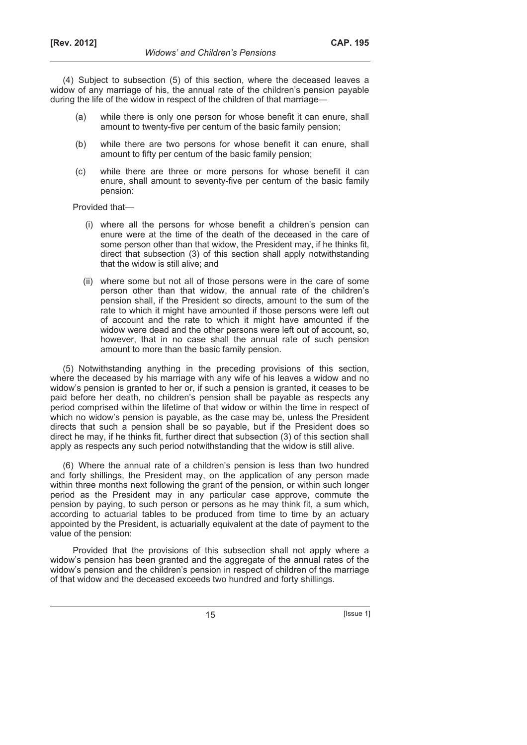(4) Subject to subsection (5) of this section, where the deceased leaves a widow of any marriage of his, the annual rate of the children's pension payable during the life of the widow in respect of the children of that marriage—

- (a) while there is only one person for whose benefit it can enure, shall amount to twenty-five per centum of the basic family pension;
- (b) while there are two persons for whose benefit it can enure, shall amount to fifty per centum of the basic family pension;
- (c) while there are three or more persons for whose benefit it can enure, shall amount to seventy-five per centum of the basic family pension:

Provided that—

- (i) where all the persons for whose benefit a children's pension can enure were at the time of the death of the deceased in the care of some person other than that widow, the President may, if he thinks fit, direct that subsection (3) of this section shall apply notwithstanding that the widow is still alive; and
- (ii) where some but not all of those persons were in the care of some person other than that widow, the annual rate of the children's pension shall, if the President so directs, amount to the sum of the rate to which it might have amounted if those persons were left out of account and the rate to which it might have amounted if the widow were dead and the other persons were left out of account, so, however, that in no case shall the annual rate of such pension amount to more than the basic family pension.

(5) Notwithstanding anything in the preceding provisions of this section, where the deceased by his marriage with any wife of his leaves a widow and no widow's pension is granted to her or, if such a pension is granted, it ceases to be paid before her death, no children's pension shall be payable as respects any period comprised within the lifetime of that widow or within the time in respect of which no widow's pension is payable, as the case may be, unless the President directs that such a pension shall be so payable, but if the President does so direct he may, if he thinks fit, further direct that subsection (3) of this section shall apply as respects any such period notwithstanding that the widow is still alive.

(6) Where the annual rate of a children's pension is less than two hundred and forty shillings, the President may, on the application of any person made within three months next following the grant of the pension, or within such longer period as the President may in any particular case approve, commute the pension by paying, to such person or persons as he may think fit, a sum which, according to actuarial tables to be produced from time to time by an actuary appointed by the President, is actuarially equivalent at the date of payment to the value of the pension:

Provided that the provisions of this subsection shall not apply where a widow's pension has been granted and the aggregate of the annual rates of the widow's pension and the children's pension in respect of children of the marriage of that widow and the deceased exceeds two hundred and forty shillings.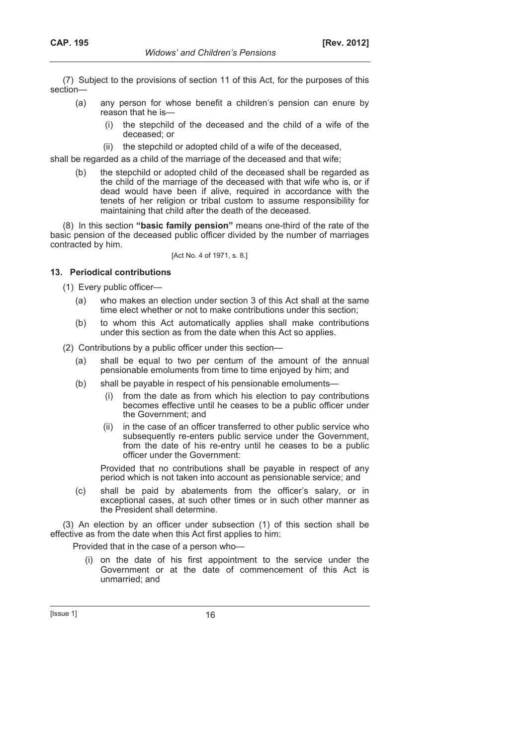(7) Subject to the provisions of section 11 of this Act, for the purposes of this section—

- (a) any person for whose benefit a children's pension can enure by reason that he is—
	- (i) the stepchild of the deceased and the child of a wife of the deceased; or
	- (ii) the stepchild or adopted child of a wife of the deceased,

shall be regarded as a child of the marriage of the deceased and that wife;

 (b) the stepchild or adopted child of the deceased shall be regarded as the child of the marriage of the deceased with that wife who is, or if dead would have been if alive, required in accordance with the tenets of her religion or tribal custom to assume responsibility for maintaining that child after the death of the deceased.

(8) In this section **"basic family pension"** means one-third of the rate of the basic pension of the deceased public officer divided by the number of marriages contracted by him.

[Act No. 4 of 1971, s. 8.]

#### **13. Periodical contributions**

(1) Every public officer—

- (a) who makes an election under section 3 of this Act shall at the same time elect whether or not to make contributions under this section;
- (b) to whom this Act automatically applies shall make contributions under this section as from the date when this Act so applies.

(2) Contributions by a public officer under this section—

- (a) shall be equal to two per centum of the amount of the annual pensionable emoluments from time to time enjoyed by him; and
- (b) shall be payable in respect of his pensionable emoluments—
	- (i) from the date as from which his election to pay contributions becomes effective until he ceases to be a public officer under the Government; and
	- (ii) in the case of an officer transferred to other public service who subsequently re-enters public service under the Government, from the date of his re-entry until he ceases to be a public officer under the Government:

 Provided that no contributions shall be payable in respect of any period which is not taken into account as pensionable service; and

 (c) shall be paid by abatements from the officer's salary, or in exceptional cases, at such other times or in such other manner as the President shall determine.

(3) An election by an officer under subsection (1) of this section shall be effective as from the date when this Act first applies to him:

Provided that in the case of a person who—

 (i) on the date of his first appointment to the service under the Government or at the date of commencement of this Act is unmarried; and

 $[|$ Ssue 1 $]$  16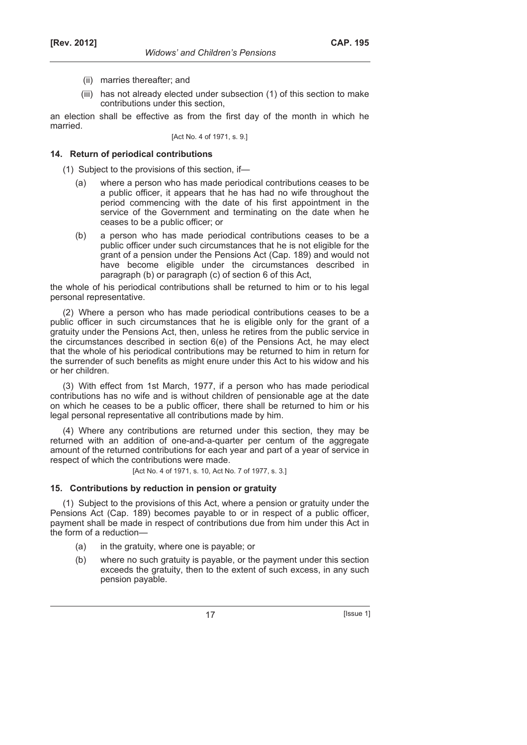- (ii) marries thereafter; and
- (iii) has not already elected under subsection (1) of this section to make contributions under this section,

an election shall be effective as from the first day of the month in which he married.

[Act No. 4 of 1971, s. 9.]

#### **14. Return of periodical contributions**

(1) Subject to the provisions of this section, if—

- (a) where a person who has made periodical contributions ceases to be a public officer, it appears that he has had no wife throughout the period commencing with the date of his first appointment in the service of the Government and terminating on the date when he ceases to be a public officer; or
- (b) a person who has made periodical contributions ceases to be a public officer under such circumstances that he is not eligible for the grant of a pension under the Pensions Act (Cap. 189) and would not have become eligible under the circumstances described in paragraph (b) or paragraph (c) of section 6 of this Act,

the whole of his periodical contributions shall be returned to him or to his legal personal representative.

(2) Where a person who has made periodical contributions ceases to be a public officer in such circumstances that he is eligible only for the grant of a gratuity under the Pensions Act, then, unless he retires from the public service in the circumstances described in section 6(e) of the Pensions Act, he may elect that the whole of his periodical contributions may be returned to him in return for the surrender of such benefits as might enure under this Act to his widow and his or her children.

(3) With effect from 1st March, 1977, if a person who has made periodical contributions has no wife and is without children of pensionable age at the date on which he ceases to be a public officer, there shall be returned to him or his legal personal representative all contributions made by him.

(4) Where any contributions are returned under this section, they may be returned with an addition of one-and-a-quarter per centum of the aggregate amount of the returned contributions for each year and part of a year of service in respect of which the contributions were made.

[Act No. 4 of 1971, s. 10, Act No. 7 of 1977, s. 3.]

#### **15. Contributions by reduction in pension or gratuity**

(1) Subject to the provisions of this Act, where a pension or gratuity under the Pensions Act (Cap. 189) becomes payable to or in respect of a public officer, payment shall be made in respect of contributions due from him under this Act in the form of a reduction—

- (a) in the gratuity, where one is payable; or
- (b) where no such gratuity is payable, or the payment under this section exceeds the gratuity, then to the extent of such excess, in any such pension payable.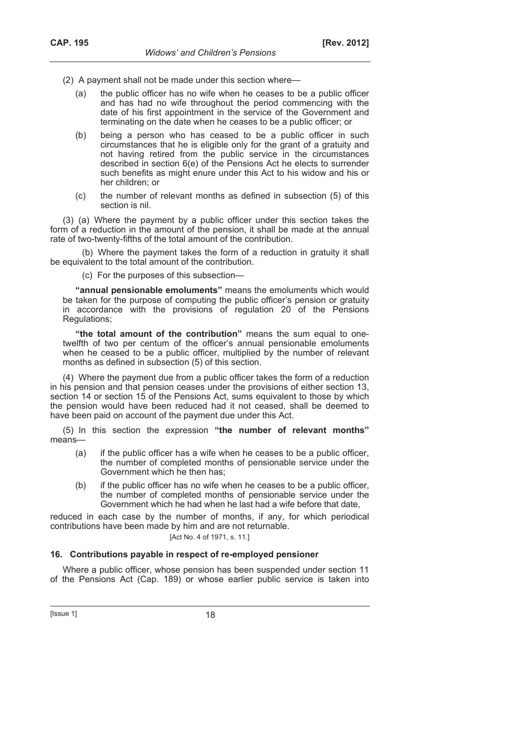- (2) A payment shall not be made under this section where—
	- (a) the public officer has no wife when he ceases to be a public officer and has had no wife throughout the period commencing with the date of his first appointment in the service of the Government and terminating on the date when he ceases to be a public officer; or
	- (b) being a person who has ceased to be a public officer in such circumstances that he is eligible only for the grant of a gratuity and not having retired from the public service in the circumstances described in section 6(e) of the Pensions Act he elects to surrender such benefits as might enure under this Act to his widow and his or her children; or
	- (c) the number of relevant months as defined in subsection (5) of this section is nil.

(3) (a) Where the payment by a public officer under this section takes the form of a reduction in the amount of the pension, it shall be made at the annual rate of two-twenty-fifths of the total amount of the contribution.

(b) Where the payment takes the form of a reduction in gratuity it shall be equivalent to the total amount of the contribution.

(c) For the purposes of this subsection—

**"annual pensionable emoluments"** means the emoluments which would be taken for the purpose of computing the public officer's pension or gratuity in accordance with the provisions of regulation 20 of the Pensions Regulations;

**"the total amount of the contribution"** means the sum equal to onetwelfth of two per centum of the officer's annual pensionable emoluments when he ceased to be a public officer, multiplied by the number of relevant months as defined in subsection (5) of this section.

(4) Where the payment due from a public officer takes the form of a reduction in his pension and that pension ceases under the provisions of either section 13, section 14 or section 15 of the Pensions Act, sums equivalent to those by which the pension would have been reduced had it not ceased, shall be deemed to have been paid on account of the payment due under this Act.

(5) In this section the expression **"the number of relevant months"** means—

- (a) if the public officer has a wife when he ceases to be a public officer, the number of completed months of pensionable service under the Government which he then has;
- (b) if the public officer has no wife when he ceases to be a public officer, the number of completed months of pensionable service under the Government which he had when he last had a wife before that date,

reduced in each case by the number of months, if any, for which periodical contributions have been made by him and are not returnable.

# [Act No. 4 of 1971, s. 11.]

#### **16. Contributions payable in respect of re-employed pensioner**

Where a public officer, whose pension has been suspended under section 11 of the Pensions Act (Cap. 189) or whose earlier public service is taken into

 $[|$ Ssue 1 $]$  18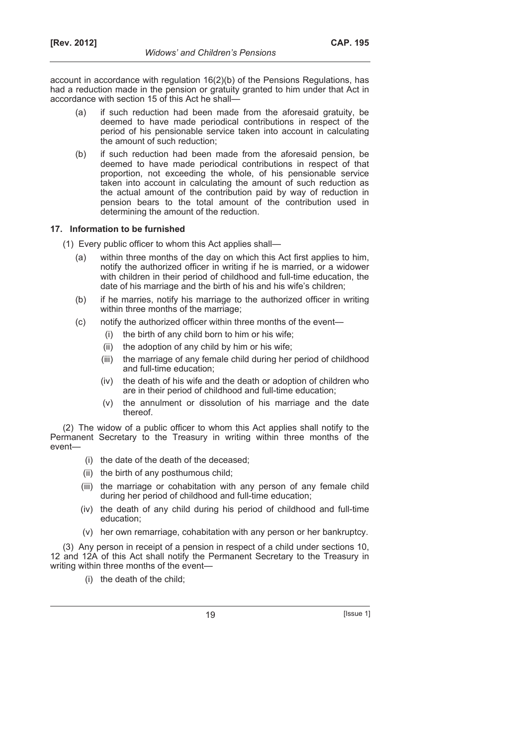account in accordance with regulation 16(2)(b) of the Pensions Regulations, has had a reduction made in the pension or gratuity granted to him under that Act in accordance with section 15 of this Act he shall—

- (a) if such reduction had been made from the aforesaid gratuity, be deemed to have made periodical contributions in respect of the period of his pensionable service taken into account in calculating the amount of such reduction;
- (b) if such reduction had been made from the aforesaid pension, be deemed to have made periodical contributions in respect of that proportion, not exceeding the whole, of his pensionable service taken into account in calculating the amount of such reduction as the actual amount of the contribution paid by way of reduction in pension bears to the total amount of the contribution used in determining the amount of the reduction.

### **17. Information to be furnished**

- (1) Every public officer to whom this Act applies shall—
	- (a) within three months of the day on which this Act first applies to him, notify the authorized officer in writing if he is married, or a widower with children in their period of childhood and full-time education, the date of his marriage and the birth of his and his wife's children;
	- (b) if he marries, notify his marriage to the authorized officer in writing within three months of the marriage;
	- (c) notify the authorized officer within three months of the event—
		- (i) the birth of any child born to him or his wife;
		- (ii) the adoption of any child by him or his wife;
		- (iii) the marriage of any female child during her period of childhood and full-time education;
		- (iv) the death of his wife and the death or adoption of children who are in their period of childhood and full-time education;
		- (v) the annulment or dissolution of his marriage and the date thereof.

(2) The widow of a public officer to whom this Act applies shall notify to the Permanent Secretary to the Treasury in writing within three months of the event—

- (i) the date of the death of the deceased;
- (ii) the birth of any posthumous child;
- (iii) the marriage or cohabitation with any person of any female child during her period of childhood and full-time education;
- (iv) the death of any child during his period of childhood and full-time education;
- (v) her own remarriage, cohabitation with any person or her bankruptcy.

(3) Any person in receipt of a pension in respect of a child under sections 10, 12 and 12A of this Act shall notify the Permanent Secretary to the Treasury in writing within three months of the event—

(i) the death of the child;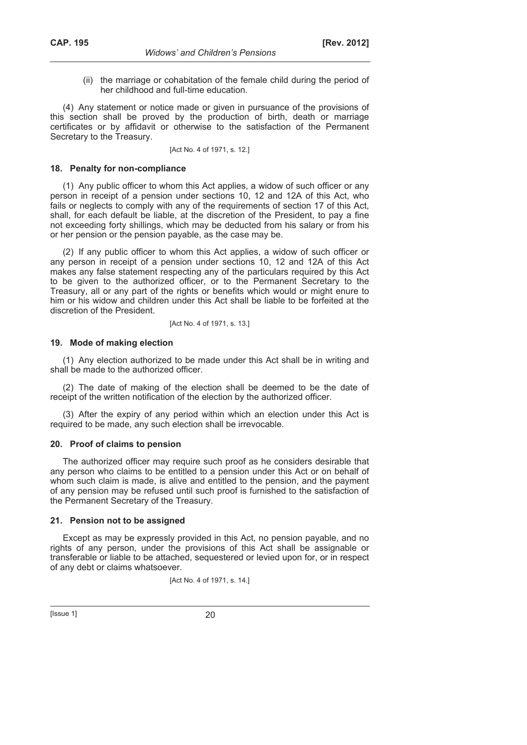(ii) the marriage or cohabitation of the female child during the period of her childhood and full-time education.

(4) Any statement or notice made or given in pursuance of the provisions of this section shall be proved by the production of birth, death or marriage certificates or by affidavit or otherwise to the satisfaction of the Permanent Secretary to the Treasury.

[Act No. 4 of 1971, s. 12.]

#### **18. Penalty for non-compliance**

(1) Any public officer to whom this Act applies, a widow of such officer or any person in receipt of a pension under sections 10, 12 and 12A of this Act, who fails or neglects to comply with any of the requirements of section 17 of this Act, shall, for each default be liable, at the discretion of the President, to pay a fine not exceeding forty shillings, which may be deducted from his salary or from his or her pension or the pension payable, as the case may be.

(2) If any public officer to whom this Act applies, a widow of such officer or any person in receipt of a pension under sections 10, 12 and 12A of this Act makes any false statement respecting any of the particulars required by this Act to be given to the authorized officer, or to the Permanent Secretary to the Treasury, all or any part of the rights or benefits which would or might enure to him or his widow and children under this Act shall be liable to be forfeited at the discretion of the President.

[Act No. 4 of 1971, s. 13.]

#### **19. Mode of making election**

(1) Any election authorized to be made under this Act shall be in writing and shall be made to the authorized officer.

(2) The date of making of the election shall be deemed to be the date of receipt of the written notification of the election by the authorized officer.

(3) After the expiry of any period within which an election under this Act is required to be made, any such election shall be irrevocable.

#### **20. Proof of claims to pension**

The authorized officer may require such proof as he considers desirable that any person who claims to be entitled to a pension under this Act or on behalf of whom such claim is made, is alive and entitled to the pension, and the payment of any pension may be refused until such proof is furnished to the satisfaction of the Permanent Secretary of the Treasury.

#### **21. Pension not to be assigned**

Except as may be expressly provided in this Act, no pension payable, and no rights of any person, under the provisions of this Act shall be assignable or transferable or liable to be attached, sequestered or levied upon for, or in respect of any debt or claims whatsoever.

[Act No. 4 of 1971, s. 14.]

 $[|$  Issue 1 $]$  20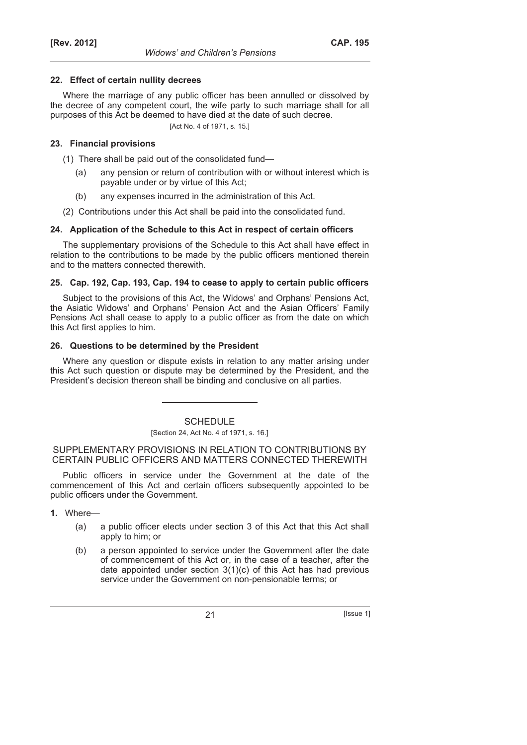### **22. Effect of certain nullity decrees**

Where the marriage of any public officer has been annulled or dissolved by the decree of any competent court, the wife party to such marriage shall for all purposes of this Act be deemed to have died at the date of such decree.

[Act No. 4 of 1971, s. 15.]

### **23. Financial provisions**

- (1) There shall be paid out of the consolidated fund—
	- (a) any pension or return of contribution with or without interest which is payable under or by virtue of this Act;
	- (b) any expenses incurred in the administration of this Act.
- (2) Contributions under this Act shall be paid into the consolidated fund.

### **24. Application of the Schedule to this Act in respect of certain officers**

The supplementary provisions of the Schedule to this Act shall have effect in relation to the contributions to be made by the public officers mentioned therein and to the matters connected therewith.

### **25. Cap. 192, Cap. 193, Cap. 194 to cease to apply to certain public officers**

Subject to the provisions of this Act, the Widows' and Orphans' Pensions Act, the Asiatic Widows' and Orphans' Pension Act and the Asian Officers' Family Pensions Act shall cease to apply to a public officer as from the date on which this Act first applies to him.

### **26. Questions to be determined by the President**

Where any question or dispute exists in relation to any matter arising under this Act such question or dispute may be determined by the President, and the President's decision thereon shall be binding and conclusive on all parties.

**SCHEDULE** 

# [Section 24, Act No. 4 of 1971, s. 16.]

SUPPLEMENTARY PROVISIONS IN RELATION TO CONTRIBUTIONS BY CERTAIN PUBLIC OFFICERS AND MATTERS CONNECTED THEREWITH

Public officers in service under the Government at the date of the commencement of this Act and certain officers subsequently appointed to be public officers under the Government.

**1.** Where—

- (a) a public officer elects under section 3 of this Act that this Act shall apply to him; or
- (b) a person appointed to service under the Government after the date of commencement of this Act or, in the case of a teacher, after the date appointed under section 3(1)(c) of this Act has had previous service under the Government on non-pensionable terms; or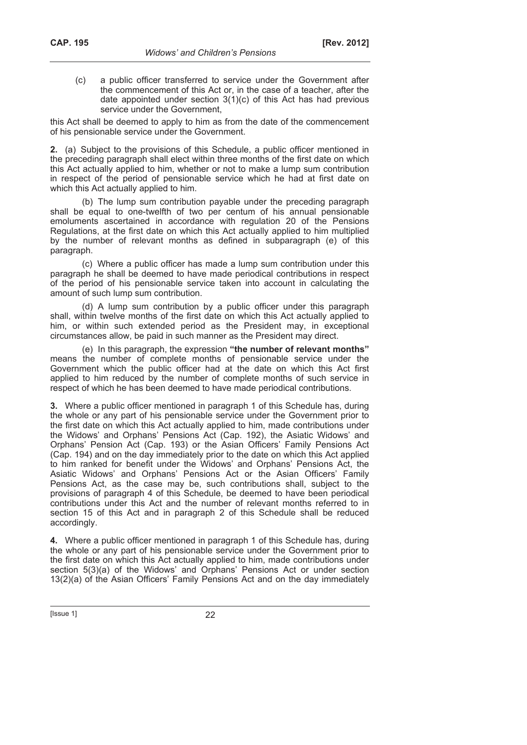(c) a public officer transferred to service under the Government after the commencement of this Act or, in the case of a teacher, after the date appointed under section 3(1)(c) of this Act has had previous service under the Government,

this Act shall be deemed to apply to him as from the date of the commencement of his pensionable service under the Government.

**2.** (a) Subject to the provisions of this Schedule, a public officer mentioned in the preceding paragraph shall elect within three months of the first date on which this Act actually applied to him, whether or not to make a lump sum contribution in respect of the period of pensionable service which he had at first date on which this Act actually applied to him.

(b) The lump sum contribution payable under the preceding paragraph shall be equal to one-twelfth of two per centum of his annual pensionable emoluments ascertained in accordance with regulation 20 of the Pensions Regulations, at the first date on which this Act actually applied to him multiplied by the number of relevant months as defined in subparagraph (e) of this paragraph.

(c) Where a public officer has made a lump sum contribution under this paragraph he shall be deemed to have made periodical contributions in respect of the period of his pensionable service taken into account in calculating the amount of such lump sum contribution.

(d) A lump sum contribution by a public officer under this paragraph shall, within twelve months of the first date on which this Act actually applied to him, or within such extended period as the President may, in exceptional circumstances allow, be paid in such manner as the President may direct.

(e) In this paragraph, the expression **"the number of relevant months"** means the number of complete months of pensionable service under the Government which the public officer had at the date on which this Act first applied to him reduced by the number of complete months of such service in respect of which he has been deemed to have made periodical contributions.

**3.** Where a public officer mentioned in paragraph 1 of this Schedule has, during the whole or any part of his pensionable service under the Government prior to the first date on which this Act actually applied to him, made contributions under the Widows' and Orphans' Pensions Act (Cap. 192), the Asiatic Widows' and Orphans' Pension Act (Cap. 193) or the Asian Officers' Family Pensions Act (Cap. 194) and on the day immediately prior to the date on which this Act applied to him ranked for benefit under the Widows' and Orphans' Pensions Act, the Asiatic Widows' and Orphans' Pensions Act or the Asian Officers' Family Pensions Act, as the case may be, such contributions shall, subject to the provisions of paragraph 4 of this Schedule, be deemed to have been periodical contributions under this Act and the number of relevant months referred to in section 15 of this Act and in paragraph 2 of this Schedule shall be reduced accordingly.

**4.** Where a public officer mentioned in paragraph 1 of this Schedule has, during the whole or any part of his pensionable service under the Government prior to the first date on which this Act actually applied to him, made contributions under section 5(3)(a) of the Widows' and Orphans' Pensions Act or under section 13(2)(a) of the Asian Officers' Family Pensions Act and on the day immediately

[Issue 1] 22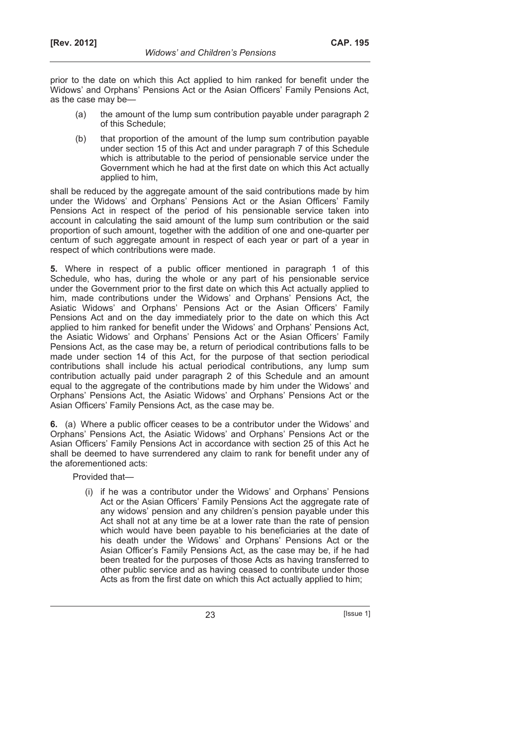prior to the date on which this Act applied to him ranked for benefit under the Widows' and Orphans' Pensions Act or the Asian Officers' Family Pensions Act, as the case may be—

- (a) the amount of the lump sum contribution payable under paragraph 2 of this Schedule;
- (b) that proportion of the amount of the lump sum contribution payable under section 15 of this Act and under paragraph 7 of this Schedule which is attributable to the period of pensionable service under the Government which he had at the first date on which this Act actually applied to him,

shall be reduced by the aggregate amount of the said contributions made by him under the Widows' and Orphans' Pensions Act or the Asian Officers' Family Pensions Act in respect of the period of his pensionable service taken into account in calculating the said amount of the lump sum contribution or the said proportion of such amount, together with the addition of one and one-quarter per centum of such aggregate amount in respect of each year or part of a year in respect of which contributions were made.

**5.** Where in respect of a public officer mentioned in paragraph 1 of this Schedule, who has, during the whole or any part of his pensionable service under the Government prior to the first date on which this Act actually applied to him, made contributions under the Widows' and Orphans' Pensions Act, the Asiatic Widows' and Orphans' Pensions Act or the Asian Officers' Family Pensions Act and on the day immediately prior to the date on which this Act applied to him ranked for benefit under the Widows' and Orphans' Pensions Act, the Asiatic Widows' and Orphans' Pensions Act or the Asian Officers' Family Pensions Act, as the case may be, a return of periodical contributions falls to be made under section 14 of this Act, for the purpose of that section periodical contributions shall include his actual periodical contributions, any lump sum contribution actually paid under paragraph 2 of this Schedule and an amount equal to the aggregate of the contributions made by him under the Widows' and Orphans' Pensions Act, the Asiatic Widows' and Orphans' Pensions Act or the Asian Officers' Family Pensions Act, as the case may be.

**6.** (a) Where a public officer ceases to be a contributor under the Widows' and Orphans' Pensions Act, the Asiatic Widows' and Orphans' Pensions Act or the Asian Officers' Family Pensions Act in accordance with section 25 of this Act he shall be deemed to have surrendered any claim to rank for benefit under any of the aforementioned acts:

Provided that—

 (i) if he was a contributor under the Widows' and Orphans' Pensions Act or the Asian Officers' Family Pensions Act the aggregate rate of any widows' pension and any children's pension payable under this Act shall not at any time be at a lower rate than the rate of pension which would have been payable to his beneficiaries at the date of his death under the Widows' and Orphans' Pensions Act or the Asian Officer's Family Pensions Act, as the case may be, if he had been treated for the purposes of those Acts as having transferred to other public service and as having ceased to contribute under those Acts as from the first date on which this Act actually applied to him;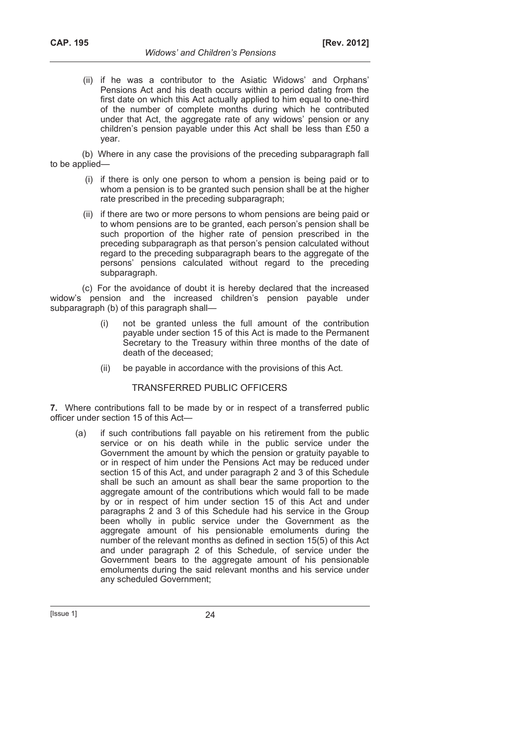(ii) if he was a contributor to the Asiatic Widows' and Orphans' Pensions Act and his death occurs within a period dating from the first date on which this Act actually applied to him equal to one-third of the number of complete months during which he contributed under that Act, the aggregate rate of any widows' pension or any children's pension payable under this Act shall be less than £50 a year.

(b) Where in any case the provisions of the preceding subparagraph fall to be applied—

- (i) if there is only one person to whom a pension is being paid or to whom a pension is to be granted such pension shall be at the higher rate prescribed in the preceding subparagraph;
- (ii) if there are two or more persons to whom pensions are being paid or to whom pensions are to be granted, each person's pension shall be such proportion of the higher rate of pension prescribed in the preceding subparagraph as that person's pension calculated without regard to the preceding subparagraph bears to the aggregate of the persons' pensions calculated without regard to the preceding subparagraph.

(c) For the avoidance of doubt it is hereby declared that the increased widow's pension and the increased children's pension payable under subparagraph (b) of this paragraph shall—

- not be granted unless the full amount of the contribution payable under section 15 of this Act is made to the Permanent Secretary to the Treasury within three months of the date of death of the deceased;
- (ii) be payable in accordance with the provisions of this Act.

# TRANSFERRED PUBLIC OFFICERS

**7.** Where contributions fall to be made by or in respect of a transferred public officer under section 15 of this Act—

 (a) if such contributions fall payable on his retirement from the public service or on his death while in the public service under the Government the amount by which the pension or gratuity payable to or in respect of him under the Pensions Act may be reduced under section 15 of this Act, and under paragraph 2 and 3 of this Schedule shall be such an amount as shall bear the same proportion to the aggregate amount of the contributions which would fall to be made by or in respect of him under section 15 of this Act and under paragraphs 2 and 3 of this Schedule had his service in the Group been wholly in public service under the Government as the aggregate amount of his pensionable emoluments during the number of the relevant months as defined in section 15(5) of this Act and under paragraph 2 of this Schedule, of service under the Government bears to the aggregate amount of his pensionable emoluments during the said relevant months and his service under any scheduled Government;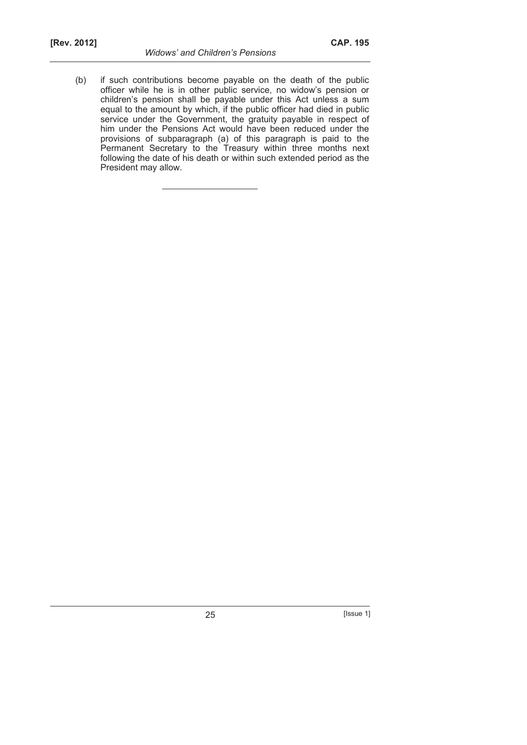President may allow.

Permanent Secretary to the Treasury within three months next following the date of his death or within such extended period as the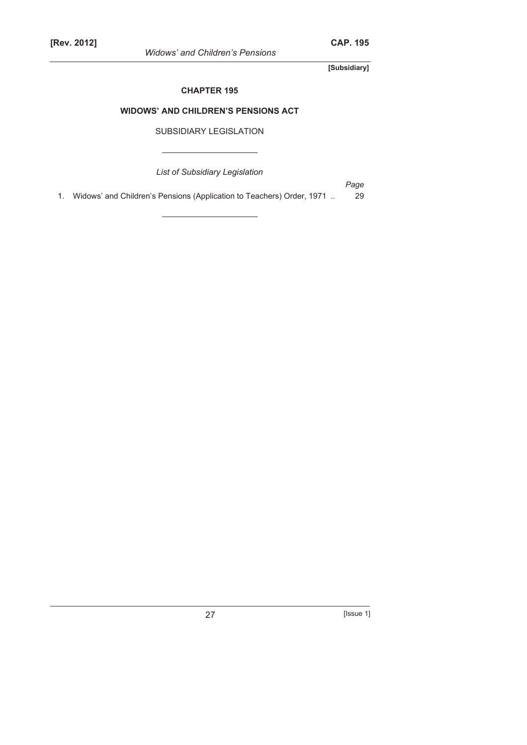*Widows' and Children's Pensions* 

**[Subsidiary]** 

### **CHAPTER 195**

# **WIDOWS' AND CHILDREN'S PENSIONS ACT**

# SUBSIDIARY LEGISLATION

*List of Subsidiary Legislation* 

*Page* 

1. Widows' and Children's Pensions (Application to Teachers) Order, 1971 .. 29

27 [Issue 1]